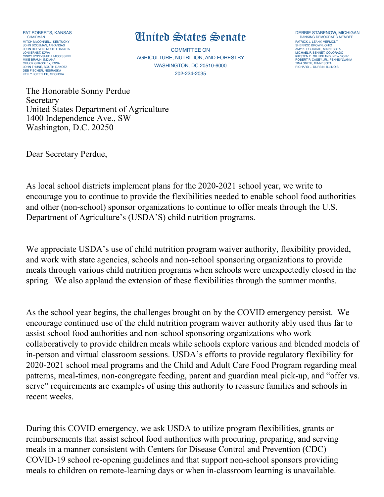PAT ROBERTS, KANSAS CHAIRMAN MITCH McCONNELL, KENTUCKY JOHN BOOZMAN, ARKANSAS JOHN HOEVEN, NORTH DAKOTA JONI ERNST, IOWA CINDY HYDE-SMITH, MISSISSIPPI MIKE BRAUN, INDIANA CHUCK GRASSLEY, IOWA JOHN THUNE, SOUTH DAKOTA DEB FISCHER, NEBRASKA KELLY LOEFFLER, GEORGIA

## **United States Senate DEBBIE STABENOW, MICHIGAN**

COMMITTEE ON AGRICULTURE, NUTRITION, AND FORESTRY WASHINGTON, DC 20510-6000 202-224-2035

PATRICK J. LEAHY, VERMONT SHERROD BROWN, OHIO AMY KLOBUCHAR, MINNESOTA MICHAEL F. BENNET, COLORADO KIRSTEN E. GILLIBRAND, NEW YORK ROBERT P. CASEY, JR., PENNSYLVANIA TINA SMITH, MINNESOTA RICHARD J. DURBIN, ILLINOIS

The Honorable Sonny Perdue **Secretary** United States Department of Agriculture 1400 Independence Ave., SW Washington, D.C. 20250

Dear Secretary Perdue,

As local school districts implement plans for the 2020-2021 school year, we write to encourage you to continue to provide the flexibilities needed to enable school food authorities and other (non-school) sponsor organizations to continue to offer meals through the U.S. Department of Agriculture's (USDA'S) child nutrition programs.

We appreciate USDA's use of child nutrition program waiver authority, flexibility provided, and work with state agencies, schools and non-school sponsoring organizations to provide meals through various child nutrition programs when schools were unexpectedly closed in the spring. We also applaud the extension of these flexibilities through the summer months.

As the school year begins, the challenges brought on by the COVID emergency persist. We encourage continued use of the child nutrition program waiver authority ably used thus far to assist school food authorities and non-school sponsoring organizations who work collaboratively to provide children meals while schools explore various and blended models of in-person and virtual classroom sessions. USDA's efforts to provide regulatory flexibility for 2020-2021 school meal programs and the Child and Adult Care Food Program regarding meal patterns, meal-times, non-congregate feeding, parent and guardian meal pick-up, and "offer vs. serve" requirements are examples of using this authority to reassure families and schools in recent weeks.

During this COVID emergency, we ask USDA to utilize program flexibilities, grants or reimbursements that assist school food authorities with procuring, preparing, and serving meals in a manner consistent with Centers for Disease Control and Prevention (CDC) COVID-19 school re-opening guidelines and that support non-school sponsors providing meals to children on remote-learning days or when in-classroom learning is unavailable.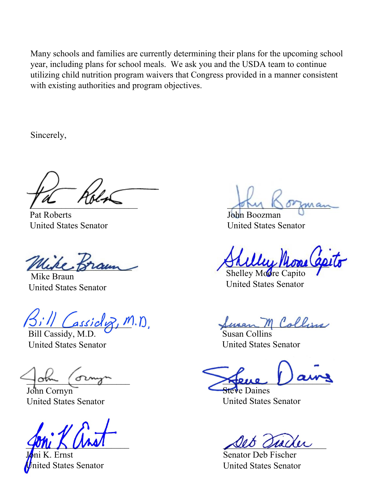Many schools and families are currently determining their plans for the upcoming school year, including plans for school meals. We ask you and the USDA team to continue utilizing child nutrition program waivers that Congress provided in a manner consistent with existing authorities and program objectives.

Sincerely,

 $\frac{1}{2}$ 

Pat Roberts United States Senator

Muke Braun

 Mike Braun United States Senator

 $L$ assicl $R$ , M.D.

Bill Cassidy, M.D. United States Senator

 $\exists$ oth  $\Box$ 

John Cornyn United States Senator

\_\_\_\_\_\_\_\_\_\_\_\_\_\_\_\_\_\_\_\_\_\_\_

**Ernst** d States Senator

John Ooman

John Boozman United States Senator

\_\_\_\_\_\_\_\_\_\_\_\_\_\_\_\_\_\_\_\_\_\_\_

Shelley Moore Capito United States Senator

Swan M Collins

Susan Collins United States Senator

 $\frac{1}{2}$ 

Steve Daines United States Senator

seo aveau

Senator Deb Fischer United States Senator